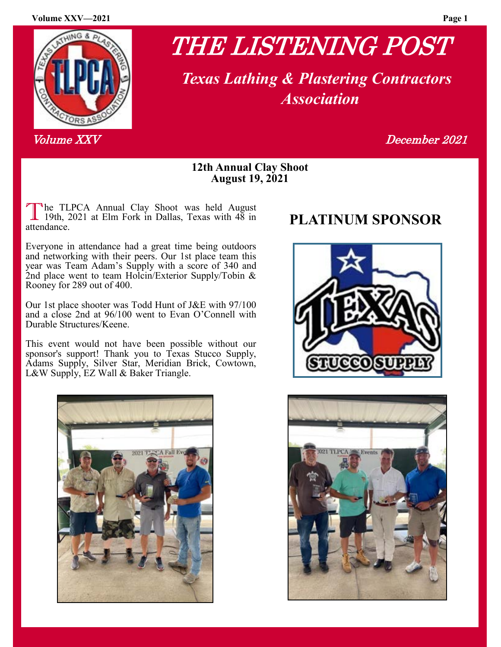#### **Volume XXV—2021 Page 1**



# THE LISTENING POST

 *Texas Lathing & Plastering Contractors Association*

Volume XX V December 2021

## **12th Annual Clay Shoot August 19, 2021**

The TLPCA Annual Clay Shoot was held August<br>
19th, 2021 at Elm Fork in Dallas, Texas with 48 in<br> **PLATINUM SPONSOR** he TLPCA Annual Clay Shoot was held August attendance.

Everyone in attendance had a great time being outdoors and networking with their peers. Our 1st place team this year was Team Adam's Supply with a score of 340 and 2nd place went to team Holcin/Exterior Supply/Tobin & Rooney for 289 out of 400.

Our 1st place shooter was Todd Hunt of J&E with 97/100 and a close 2nd at 96/100 went to Evan O'Connell with Durable Structures/Keene.

This event would not have been possible without our sponsor's support! Thank you to Texas Stucco Supply, Adams Supply, Silver Star, Meridian Brick, Cowtown, L&W Supply, EZ Wall & Baker Triangle.





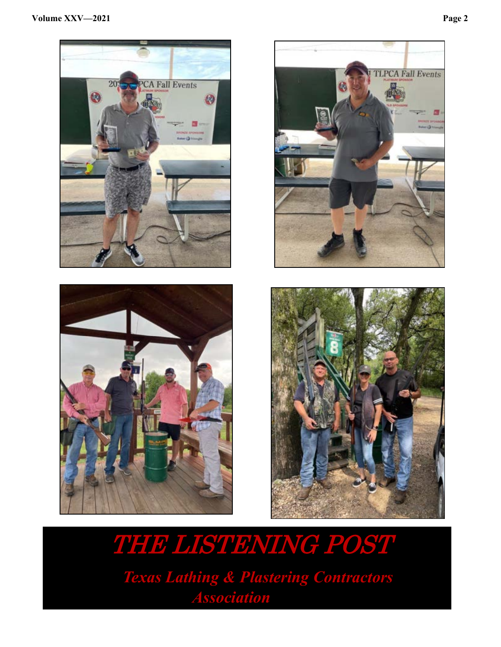







THE LISTENING POST  *Texas Lathing & Plastering Contractors Association*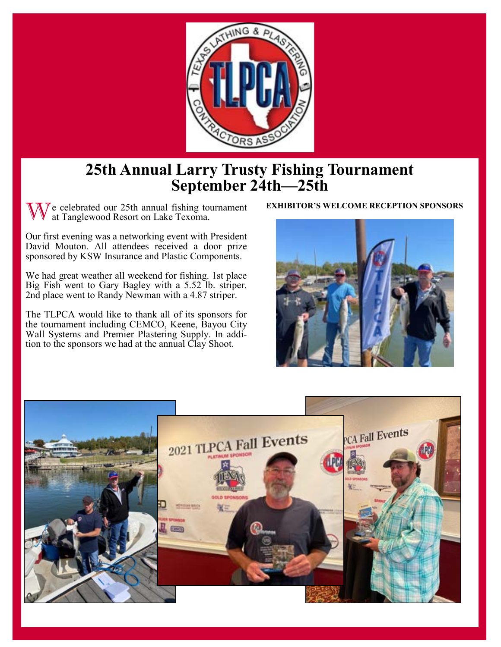

# **25th Annual Larry Trusty Fishing Tournament September 24th—25th**

W e celebrated our 25th annual fishing tournament **EXHIBITOR'S WELCOME RECEPTION SPONSORS** at Tanglewood Resort on Lake Texoma.

Our first evening was a networking event with President David Mouton. All attendees received a door prize sponsored by KSW Insurance and Plastic Components.

We had great weather all weekend for fishing. 1st place Big Fish went to Gary Bagley with a 5.52 lb. striper. 2nd place went to Randy Newman with a 4.87 striper.

The TLPCA would like to thank all of its sponsors for the tournament including CEMCO, Keene, Bayou City Wall Systems and Premier Plastering Supply. In addition to the sponsors we had at the annual Clay Shoot.